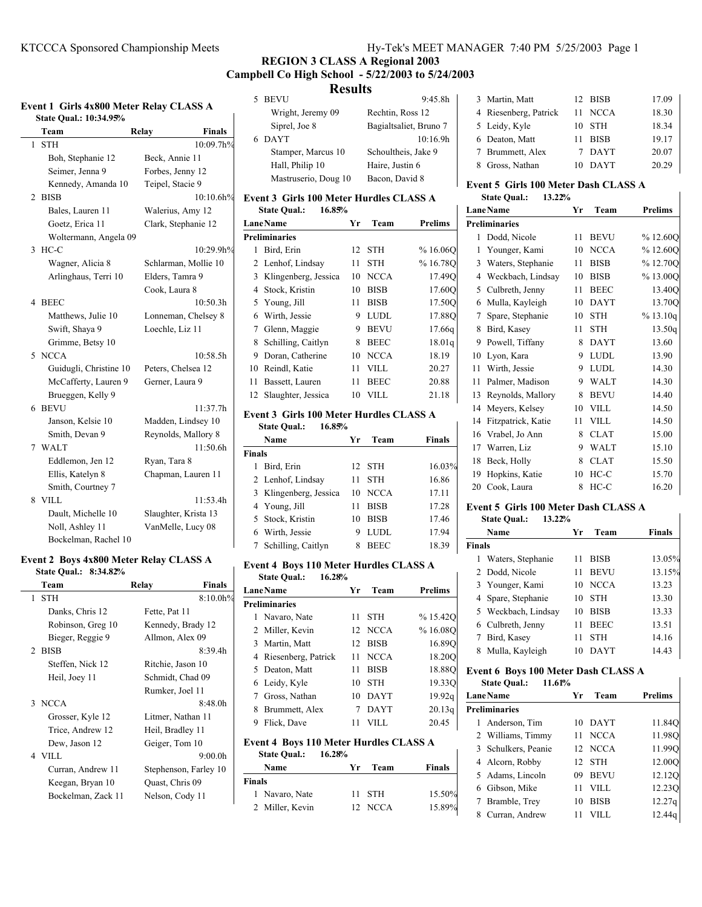# **REGION 3 CLASS A Regional 2003 Campbell Co High School - 5/22/2003 to 5/24/2003 Results**

| Event 1 Girls 4x800 Meter Relay CLASS A |                                     |  |  |
|-----------------------------------------|-------------------------------------|--|--|
|                                         | $C_{total}$ $O_{real}$ , 10.24 050/ |  |  |

| State Qual.: 10:34.95% |                      |
|------------------------|----------------------|
| Team                   | Relay<br>Finals      |
| <b>STH</b><br>1        | 10:09.7h%            |
| Boh, Stephanie 12      | Beck, Annie 11       |
| Seimer, Jenna 9        | Forbes, Jenny 12     |
| Kennedy, Amanda 10     | Teipel, Stacie 9     |
| <b>BISB</b><br>2       | 10:10.6h%            |
| Bales, Lauren 11       | Walerius, Amy 12     |
| Goetz, Erica 11        | Clark, Stephanie 12  |
| Woltermann, Angela 09  |                      |
| 3<br>$HC-C$            | 10:29.9h%            |
| Wagner, Alicia 8       | Schlarman, Mollie 10 |
| Arlinghaus, Terri 10   | Elders, Tamra 9      |
|                        | Cook, Laura 8        |
| <b>BEEC</b><br>4       | 10:50.3h             |
| Matthews, Julie 10     | Lonneman, Chelsey 8  |
| Swift, Shaya 9         | Loechle, Liz 11      |
| Grimme, Betsy 10       |                      |
| <b>NCCA</b><br>5       | 10:58.5h             |
| Guidugli, Christine 10 | Peters, Chelsea 12   |
| McCafferty, Lauren 9   | Gerner, Laura 9      |
| Brueggen, Kelly 9      |                      |
| <b>BEVU</b><br>6       | 11:37.7h             |
| Janson, Kelsie 10      | Madden, Lindsey 10   |
| Smith, Devan 9         | Reynolds, Mallory 8  |
| <b>WALT</b><br>7       | 11:50.6h             |
| Eddlemon, Jen 12       | Ryan, Tara 8         |
| Ellis, Katelyn 8       | Chapman, Lauren 11   |
| Smith, Courtney 7      |                      |
| VILL<br>8              | 11:53.4h             |
| Dault, Michelle 10     | Slaughter, Krista 13 |
| Noll, Ashley 11        | VanMelle, Lucy 08    |
| Bockelman, Rachel 10   |                      |

# **Event 2 Boys 4x800 Meter Relay CLASS A**

| State Qual.: 8:34.82% |                       |
|-----------------------|-----------------------|
| Team                  | Relay<br>Finals       |
| 1 STH                 | $8:10.0h\%$           |
| Danks, Chris 12       | Fette, Pat 11         |
| Robinson, Greg 10     | Kennedy, Brady 12     |
| Bieger, Reggie 9      | Allmon, Alex 09       |
| 2 BISB                | 8:39.4h               |
| Steffen, Nick 12      | Ritchie, Jason 10     |
| Heil, Joey 11         | Schmidt, Chad 09      |
|                       | Rumker, Joel 11       |
| 3 NCCA                | 8:48.0h               |
| Grosser, Kyle 12      | Litmer, Nathan 11     |
| Trice, Andrew 12      | Heil, Bradley 11      |
| Dew, Jason 12         | Geiger, Tom 10        |
| 4 VILL                | 9:00.0h               |
| Curran, Andrew 11     | Stephenson, Farley 10 |
| Keegan, Bryan 10      | Quast, Chris 09       |
| Bockelman, Zack 11    | Nelson, Cody 11       |
|                       |                       |

| 133311.              |                        |  |  |  |  |  |
|----------------------|------------------------|--|--|--|--|--|
| 5 BEVU               | 9:45.8h                |  |  |  |  |  |
| Wright, Jeremy 09    | Rechtin, Ross 12       |  |  |  |  |  |
| Siprel, Joe 8        | Bagialtsaliet, Bruno 7 |  |  |  |  |  |
| 6 DAYT               | 10:16.9h               |  |  |  |  |  |
| Stamper, Marcus 10   | Schoultheis, Jake 9    |  |  |  |  |  |
| Hall, Philip 10      | Haire, Justin 6        |  |  |  |  |  |
| Mastruserio, Doug 10 | Bacon, David 8         |  |  |  |  |  |
|                      |                        |  |  |  |  |  |

# **Event 3 Girls 100 Meter Hurdles CLASS A**

|    | <b>State Qual.:</b><br>16.85% |     |             |                |
|----|-------------------------------|-----|-------------|----------------|
|    | <b>LaneName</b>               | Yг  | Team        | <b>Prelims</b> |
|    | <b>Preliminaries</b>          |     |             |                |
| 1  | Bird, Erin                    | 12. | <b>STH</b>  | %16.06O        |
|    | 2 Lenhof, Lindsay             | 11  | <b>STH</b>  | % 16.78Q       |
|    | 3 Klingenberg, Jessica        | 10  | <b>NCCA</b> | 17.490         |
|    | 4 Stock, Kristin              | 10  | <b>BISB</b> | 17.600         |
|    | 5 Young, Jill                 | 11  | <b>BISB</b> | 17.500         |
|    | 6 Wirth, Jessie               | 9   | <b>LUDL</b> | 17.88Q         |
| 7  | Glenn, Maggie                 | 9   | <b>BEVU</b> | 17.66g         |
|    | 8 Schilling, Caitlyn          | 8   | <b>BEEC</b> | 18.01q         |
| 9  | Doran, Catherine              | 10  | <b>NCCA</b> | 18.19          |
| 10 | Reindl, Katie                 | 11  | VILL.       | 20.27          |
| 11 | Bassett, Lauren               | 11  | <b>BEEC</b> | 20.88          |
| 12 | Slaughter, Jessica            | 10  | VILL        | 21.18          |

### **Event 3 Girls 100 Meter Hurdles CLASS A State Qual.: 16.85%**

|               | Name                   | Уr | Team        | Finals |
|---------------|------------------------|----|-------------|--------|
| <b>Finals</b> |                        |    |             |        |
|               | Bird, Erin             |    | 12 STH      | 16.03% |
|               | 2 Lenhof, Lindsay      | 11 | <b>STH</b>  | 16.86  |
|               | 3 Klingenberg, Jessica | 10 | NCCA        | 17.11  |
|               | 4 Young, Jill          | 11 | <b>BISB</b> | 17.28  |
|               | 5 Stock, Kristin       | 10 | <b>BISB</b> | 17.46  |
| 6             | Wirth, Jessie          | 9  | <b>LUDL</b> | 17.94  |
|               | 7 Schilling, Caitlyn   | 8  | BEEC        | 18.39  |

# **Event 4 Boys 110 Meter Hurdles CLASS A**

|   | 16.28%<br><b>State Qual.:</b>                                                  |    |             |                |
|---|--------------------------------------------------------------------------------|----|-------------|----------------|
|   | LaneName                                                                       | Yr | Team        | <b>Prelims</b> |
|   | <b>Preliminaries</b>                                                           |    |             |                |
|   | 1 Navaro, Nate                                                                 |    | $11$ STH    | %15.42O        |
|   | 2 Miller, Kevin                                                                |    | 12 NCCA     | %16.08O        |
|   | 3 Martin, Matt                                                                 | 12 | <b>BISB</b> | 16.890         |
|   | 4 Riesenberg, Patrick                                                          |    | 11 NCCA     | 18.200         |
|   | 5 Deaton, Matt                                                                 | 11 | <b>BISB</b> | 18.88O         |
|   | 6 Leidy, Kyle                                                                  | 10 | <b>STH</b>  | 19.330         |
|   | 7 Gross, Nathan                                                                |    | 10 DAYT     | 19.92q         |
|   | 8 Brummett, Alex                                                               |    | 7 DAYT      | 20.13q         |
| 9 | Flick, Dave                                                                    | 11 | VILL        | 20.45          |
|   | <b>Event 4 Boys 110 Meter Hurdles CLASS A</b><br>16.28%<br><b>State Qual.:</b> |    |             |                |

| state Qual.:    | 10.28% |         |        |
|-----------------|--------|---------|--------|
| Name            | Yг     | Team    | Finals |
| Finals          |        |         |        |
| 1 Navaro, Nate  |        | 11 STH  | 15.50% |
| 2 Miller, Kevin |        | 12 NCCA | 15.89% |

| 3 Martin, Matt        |    | 12 BISB     | 17.09 |
|-----------------------|----|-------------|-------|
| 4 Riesenberg, Patrick |    | 11 NCCA     | 18.30 |
| 5 Leidy, Kyle         | 10 | STH         | 18.34 |
| 6 Deaton, Matt        | 11 | <b>BISB</b> | 19.17 |
| 7 Brummett, Alex      |    | DAYT        | 20.07 |
| 8 Gross, Nathan       |    | DAYT        | 20.29 |

# **Event 5 Girls 100 Meter Dash CLASS A**

| ------ |                     | ------------------ |  |
|--------|---------------------|--------------------|--|
|        | <b>State Qual.:</b> | 13.22%             |  |

|    | <b>LaneName</b>      | Yr | Team        | <b>Prelims</b> |
|----|----------------------|----|-------------|----------------|
|    | <b>Preliminaries</b> |    |             |                |
| 1  | Dodd, Nicole         | 11 | <b>BEVU</b> | %12.60O        |
| 1  | Younger, Kami        | 10 | <b>NCCA</b> | %12.60O        |
| 3  | Waters, Stephanie    | 11 | <b>BISB</b> | %12.70O        |
| 4  | Weckbach, Lindsay    | 10 | <b>BISB</b> | %13.00O        |
| 5  | Culbreth, Jenny      | 11 | <b>BEEC</b> | 13.40O         |
| 6  | Mulla, Kayleigh      | 10 | <b>DAYT</b> | 13.70O         |
| 7  | Spare, Stephanie     | 10 | <b>STH</b>  | % 13.10q       |
| 8  | Bird, Kasey          | 11 | <b>STH</b>  | 13.50q         |
| 9  | Powell, Tiffany      | 8  | <b>DAYT</b> | 13.60          |
| 10 | Lyon, Kara           | 9  | <b>LUDL</b> | 13.90          |
| 11 | Wirth, Jessie        | 9  | <b>LUDL</b> | 14.30          |
| 11 | Palmer, Madison      | 9  | WALT        | 14.30          |
| 13 | Reynolds, Mallory    | 8  | <b>BEVU</b> | 14.40          |
| 14 | Meyers, Kelsey       | 10 | VILL.       | 14.50          |
| 14 | Fitzpatrick, Katie   | 11 | VILL        | 14.50          |
| 16 | Vrabel, Jo Ann       | 8  | <b>CLAT</b> | 15.00          |
| 17 | Warren, Liz          | 9  | <b>WALT</b> | 15.10          |
| 18 | Beck, Holly          | 8  | <b>CLAT</b> | 15.50          |
| 19 | Hopkins, Katie       | 10 | $HC-C$      | 15.70          |
| 20 | Cook, Laura          | 8  | $HC-C$      | 16.20          |

# **Event 5 Girls 100 Meter Dash CLASS A**

### **State Qual.: 13.22%**

|        | Name                | <b>Yr</b> | Team        | <b>Finals</b> |
|--------|---------------------|-----------|-------------|---------------|
| Finals |                     |           |             |               |
|        | Waters, Stephanie   |           | <b>BISB</b> | 13.05%        |
|        | 2 Dodd, Nicole      |           | <b>BEVU</b> | 13.15%        |
|        | 3 Younger, Kami     | 10        | <b>NCCA</b> | 13.23         |
|        | 4 Spare, Stephanie  | 10        | <b>STH</b>  | 13.30         |
|        | 5 Weckbach, Lindsay | 10        | <b>BISB</b> | 13.33         |
|        | 6 Culbreth, Jenny   | 11        | <b>BEEC</b> | 13.51         |
|        | Bird, Kasey         |           | <b>STH</b>  | 14.16         |
| 8      | Mulla, Kayleigh     |           | DAYT        | 14.43         |

 $\overline{\phantom{a}}$ 

 $\overline{1}$ 

### **Event 6 Boys 100 Meter Dash CLASS A State Qual.: 11.61%**

| <b>LaneName</b>      | Yr | Team        | <b>Prelims</b>     |  |  |
|----------------------|----|-------------|--------------------|--|--|
| <b>Preliminaries</b> |    |             |                    |  |  |
| 1 Anderson, Tim      |    | 10 DAYT     | 11.84Q             |  |  |
| 2 Williams, Timmy    |    | 11 NCCA     | 11.98O             |  |  |
| 3 Schulkers, Peanie  |    | 12 NCCA     | 11.99O             |  |  |
| 4 Alcorn, Robby      |    | 12 STH      | 12.00O             |  |  |
| 5 Adams, Lincoln     |    | 09 BEVU     | 12.12Q             |  |  |
| 6 Gibson, Mike       | 11 | <b>VILL</b> | 12.230             |  |  |
| 7 Bramble, Trev      | 10 | <b>BISB</b> | 12.27 <sub>q</sub> |  |  |
| Curran, Andrew       | 11 | VILL        | 12.44g             |  |  |
|                      |    |             |                    |  |  |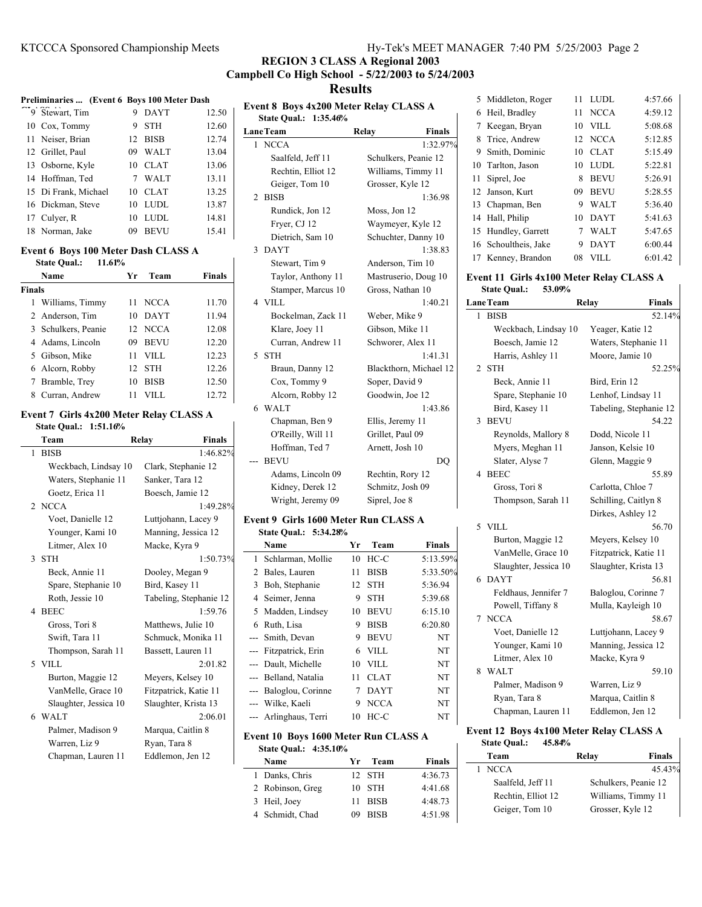# **REGION 3 CLASS A Regional 2003 Campbell Co High School - 5/22/2003 to 5/24/2003**

# **Results**

| Preliminaries  (Event 6 Boys 100 Meter Dash |    |                   |       |
|---------------------------------------------|----|-------------------|-------|
| 9 Stewart, Tim                              | 9  | <b>DAYT</b>       | 12.50 |
| 10 Cox, Tommy                               | 9  | <b>STH</b>        | 12.60 |
| 11 Neiser, Brian                            |    | 12 BISB           | 12.74 |
| 12 Grillet, Paul                            | 09 | <b>WALT</b>       | 13.04 |
| 13 Osborne, Kyle                            |    | 10 CLAT           | 13.06 |
| 14 Hoffman, Ted                             |    | <b>WALT</b>       | 13.11 |
| 15 Di Frank, Michael                        |    | $10 \text{ CLAT}$ | 13.25 |
| 16 Dickman, Steve                           | 10 | <b>LUDL</b>       | 13.87 |
| 17 Culver, R                                | 10 | LUDI.             | 14.81 |
| 18 Norman, Jake                             | 09 | <b>BEVU</b>       | 15.41 |
|                                             |    |                   |       |

## **Event 6 Boys 100 Meter Dash CLASS A**

| 11.61%<br><b>State Qual.:</b> |                   |               |
|-------------------------------|-------------------|---------------|
| Name                          | Team<br>Уr        | <b>Finals</b> |
| <b>Finals</b>                 |                   |               |
| Williams, Timmy               | <b>NCCA</b><br>11 | 11.70         |
| 2 Anderson, Tim               | <b>DAYT</b><br>10 | 11.94         |
| 3 Schulkers, Peanie           | 12 NCCA           | 12.08         |
| 4 Adams, Lincoln              | <b>BEVU</b><br>09 | 12.20         |
| 5 Gibson, Mike                | VILL<br>11        | 12.23         |
| 6 Alcorn, Robby               | <b>STH</b><br>12  | 12.26         |
| 7 Bramble, Trey               | <b>BISB</b><br>10 | 12.50         |
| Curran, Andrew<br>8           | 11                | 12.72         |

### **Event 7 Girls 4x200 Meter Relay CLASS A State Qual.: 1:51.16%**

| Team                  | Relay | <b>Finals</b>          |
|-----------------------|-------|------------------------|
| <b>BISB</b><br>1      |       | 1:46.82%               |
| Weckbach, Lindsay 10  |       | Clark, Stephanie 12    |
| Waters, Stephanie 11  |       | Sanker, Tara 12        |
| Goetz, Erica 11       |       | Boesch, Jamie 12       |
| 2 NCCA                |       | 1:49.28%               |
| Voet, Danielle 12     |       | Luttjohann, Lacey 9    |
| Younger, Kami 10      |       | Manning, Jessica 12    |
| Litmer, Alex 10       |       | Macke, Kyra 9          |
| 3 STH                 |       | 1:50.73%               |
| Beck, Annie 11        |       | Dooley, Megan 9        |
| Spare, Stephanie 10   |       | Bird, Kasey 11         |
| Roth, Jessie 10       |       | Tabeling, Stephanie 12 |
| 4 BEEC                |       | 1:59.76                |
| Gross, Tori 8         |       | Matthews, Julie 10     |
| Swift, Tara 11        |       | Schmuck, Monika 11     |
| Thompson, Sarah 11    |       | Bassett, Lauren 11     |
| 5 VILL                |       | 2:01.82                |
| Burton, Maggie 12     |       | Meyers, Kelsey 10      |
| VanMelle, Grace 10    |       | Fitzpatrick, Katie 11  |
| Slaughter, Jessica 10 |       | Slaughter, Krista 13   |
| 6 WALT                |       | 2:06.01                |
| Palmer, Madison 9     |       | Marqua, Caitlin 8      |
| Warren, Liz 9         |       | Ryan, Tara 8           |
| Chapman, Lauren 11    |       | Eddlemon, Jen 12       |
|                       |       |                        |

|       | <b>LaneTeam</b>    | Relay<br>Finals        |
|-------|--------------------|------------------------|
|       | 1 NCCA             | 1:32.97%               |
|       | Saalfeld, Jeff 11  | Schulkers, Peanie 12   |
|       | Rechtin, Elliot 12 | Williams, Timmy 11     |
|       | Geiger, Tom 10     | Grosser, Kyle 12       |
| 2     | <b>BISB</b>        | 1:36.98                |
|       | Rundick, Jon 12    | Moss, Jon 12           |
|       | Fryer, CJ 12       | Waymeyer, Kyle 12      |
|       | Dietrich, Sam 10   | Schuchter, Danny 10    |
| 3     | <b>DAYT</b>        | 1:38.83                |
|       | Stewart, Tim 9     | Anderson, Tim 10       |
|       | Taylor, Anthony 11 | Mastruserio, Doug 10   |
|       | Stamper, Marcus 10 | Gross, Nathan 10       |
|       | 4 VILL             | 1:40.21                |
|       | Bockelman, Zack 11 | Weber, Mike 9          |
|       | Klare, Joey 11     | Gibson, Mike 11        |
|       | Curran, Andrew 11  | Schworer, Alex 11      |
| 5     | <b>STH</b>         | 1:41.31                |
|       | Braun, Danny 12    | Blackthorn, Michael 12 |
|       | Cox, Tommy 9       | Soper, David 9         |
|       | Alcorn, Robby 12   | Goodwin, Joe 12        |
| 6     | <b>WALT</b>        | 1:43.86                |
|       | Chapman, Ben 9     | Ellis, Jeremy 11       |
|       | O'Reilly, Will 11  | Grillet, Paul 09       |
|       | Hoffman, Ted 7     | Arnett, Josh 10        |
| $---$ | <b>BEVU</b>        | DO                     |
|       | Adams, Lincoln 09  | Rechtin, Rory 12       |
|       | Kidney, Derek 12   | Schmitz, Josh 09       |
|       | Wright, Jeremy 09  | Siprel, Joe 8          |

|          | Name                  | Yг | Team        | <b>Finals</b> |
|----------|-----------------------|----|-------------|---------------|
| 1.       | Schlarman, Mollie     | 10 | $HC-C$      | 5:13.59%      |
|          | 2 Bales, Lauren       | 11 | <b>BISB</b> | 5:33.50%      |
| 3        | Boh, Stephanie        | 12 | <b>STH</b>  | 5:36.94       |
| 4        | Seimer, Jenna         | 9  | <b>STH</b>  | 5:39.68       |
|          | 5 Madden, Lindsey     | 10 | <b>BEVU</b> | 6:15.10       |
| 6        | Ruth, Lisa            | 9  | <b>BISB</b> | 6:20.80       |
|          | --- Smith, Devan      | 9  | <b>BEVU</b> | NT            |
|          | --- Fitzpatrick, Erin | 6  | <b>VILL</b> | NT            |
|          | --- Dault, Michelle   | 10 | VILL.       | <b>NT</b>     |
|          | --- Belland, Natalia  | 11 | <b>CLAT</b> | NT            |
| $\cdots$ | Baloglou, Corinne     | 7  | <b>DAYT</b> | <b>NT</b>     |
|          | --- Wilke, Kaeli      | 9  | <b>NCCA</b> | <b>NT</b>     |
|          | --- Arlinghaus, Terri | 10 | HC-C        | NT            |
|          |                       |    |             |               |

# **Event 10 Boys 1600 Meter Run CLASS A State Qual.: 4:35.10%**

| Name             | Yr. | Team        | <b>Finals</b> |
|------------------|-----|-------------|---------------|
| 1 Danks, Chris   |     | 12 STH      | 4:36.73       |
| 2 Robinson, Greg |     | $10$ STH    | 4:41.68       |
| 3 Heil, Joev     |     | 11 BISB     | 4:48.73       |
| 4 Schmidt, Chad  | 09  | <b>BISB</b> | 4:51.98       |

|    | 5 Middleton, Roger   | 11 | <b>LUDL</b> | 4:57.66 |
|----|----------------------|----|-------------|---------|
|    | 6 Heil, Bradley      | 11 | <b>NCCA</b> | 4:59.12 |
| 7  | Keegan, Bryan        | 10 | <b>VILL</b> | 5:08.68 |
| 8  | Trice, Andrew        |    | 12 NCCA     | 5:12.85 |
| 9  | Smith, Dominic       | 10 | <b>CLAT</b> | 5:15.49 |
|    | 10 Tarlton, Jason    | 10 | <b>LUDL</b> | 5:22.81 |
| 11 | Siprel, Joe          | 8  | <b>BEVU</b> | 5:26.91 |
|    | 12 Janson, Kurt      | 09 | <b>BEVU</b> | 5:28.55 |
|    | 13 Chapman, Ben      | 9  | <b>WALT</b> | 5:36.40 |
|    | 14 Hall, Philip      | 10 | <b>DAYT</b> | 5:41.63 |
|    | 15 Hundley, Garrett  | 7  | <b>WALT</b> | 5:47.65 |
|    | 16 Schoultheis, Jake | 9  | <b>DAYT</b> | 6:00.44 |
|    | 17 Kenney, Brandon   | 08 | VILL.       | 6:01.42 |

## **Event 11 Girls 4x100 Meter Relay CLASS A State Qual.: 53.09%**

| <b>LaneTeam</b> |                       | Relay                  | <b>Finals</b> |
|-----------------|-----------------------|------------------------|---------------|
| 1.              | <b>BISB</b>           |                        | 52.14%        |
|                 | Weckbach, Lindsay 10  | Yeager, Katie 12       |               |
|                 | Boesch, Jamie 12      | Waters, Stephanie 11   |               |
|                 | Harris, Ashley 11     | Moore, Jamie 10        |               |
| 2               | <b>STH</b>            |                        | 52.25%        |
|                 | Beck, Annie 11        | Bird, Erin 12          |               |
|                 | Spare, Stephanie 10   | Lenhof, Lindsay 11     |               |
|                 | Bird, Kasey 11        | Tabeling, Stephanie 12 |               |
| 3               | <b>BEVU</b>           |                        | 54.22         |
|                 | Reynolds, Mallory 8   | Dodd, Nicole 11        |               |
|                 | Myers, Meghan 11      | Janson, Kelsie 10      |               |
|                 | Slater, Alyse 7       | Glenn, Maggie 9        |               |
| 4               | <b>BEEC</b>           |                        | 55.89         |
|                 | Gross, Tori 8         | Carlotta, Chloe 7      |               |
|                 | Thompson, Sarah 11    | Schilling, Caitlyn 8   |               |
|                 |                       | Dirkes, Ashley 12      |               |
|                 | 5 VILL                |                        | 56.70         |
|                 | Burton, Maggie 12     | Meyers, Kelsey 10      |               |
|                 | VanMelle, Grace 10    | Fitzpatrick, Katie 11  |               |
|                 | Slaughter, Jessica 10 | Slaughter, Krista 13   |               |
| 6               | <b>DAYT</b>           |                        | 56.81         |
|                 | Feldhaus, Jennifer 7  | Baloglou, Corinne 7    |               |
|                 | Powell, Tiffany 8     | Mulla, Kayleigh 10     |               |
| 7               | <b>NCCA</b>           |                        | 58.67         |
|                 | Voet, Danielle 12     | Luttjohann, Lacey 9    |               |
|                 | Younger, Kami 10      | Manning, Jessica 12    |               |
|                 | Litmer, Alex 10       | Macke, Kyra 9          |               |
| 8               | <b>WALT</b>           |                        | 59.10         |
|                 | Palmer, Madison 9     | Warren, Liz 9          |               |
|                 | Ryan, Tara 8          | Marqua, Caitlin 8      |               |
|                 | Chapman, Lauren 11    | Eddlemon, Jen 12       |               |

# **Event 12 Boys 4x100 Meter Relay CLASS A State Qual.: 45.84%**

 $\mathbf{I}$ 

 $\overline{\phantom{a}}$ 

| Team               | Relay            | <b>Finals</b>        |
|--------------------|------------------|----------------------|
| <b>NCCA</b>        |                  | 45.43%               |
| Saalfeld, Jeff 11  |                  | Schulkers, Peanie 12 |
| Rechtin, Elliot 12 |                  | Williams, Timmy 11   |
| Geiger, Tom 10     | Grosser, Kyle 12 |                      |
|                    |                  |                      |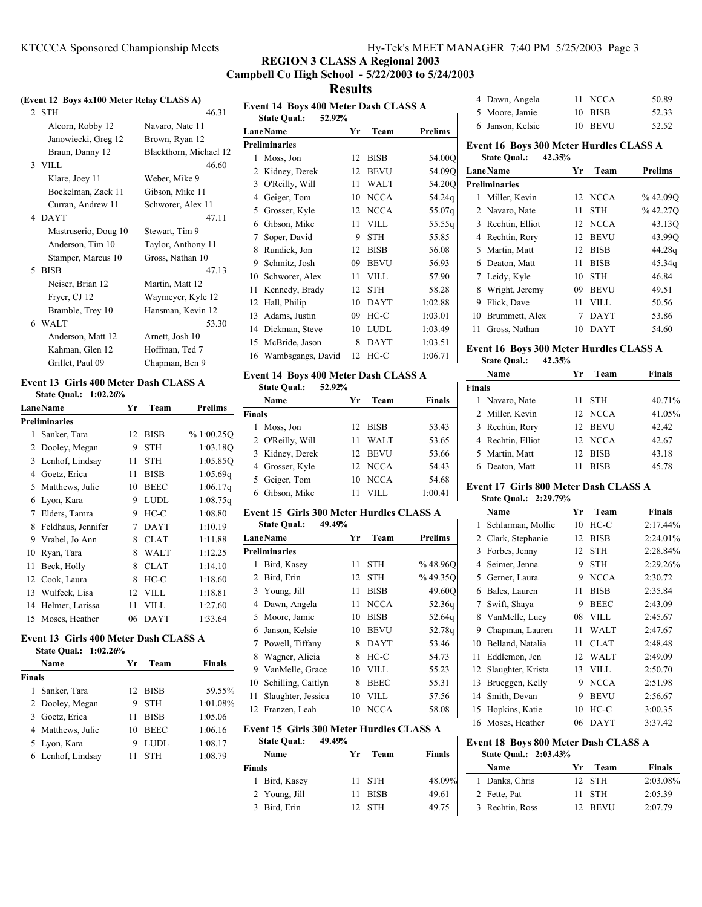# **REGION 3 CLASS A Regional 2003 Campbell Co High School - 5/22/2003 to 5/24/2003 Results**

### **(Event 12 Boys 4x100 Meter Relay CLASS A)**

| 2 STH                | 46.31                  |
|----------------------|------------------------|
| Alcorn, Robby 12     | Navaro, Nate 11        |
| Janowiecki, Greg 12  | Brown, Ryan 12         |
| Braun, Danny 12      | Blackthorn, Michael 12 |
| 3 VILL               | 46.60                  |
| Klare, Joey 11       | Weber, Mike 9          |
| Bockelman, Zack 11   | Gibson, Mike 11        |
| Curran, Andrew 11    | Schworer, Alex 11      |
| 4 DAYT               | 47.11                  |
| Mastruserio, Doug 10 | Stewart, Tim 9         |
| Anderson, Tim 10     | Taylor, Anthony 11     |
| Stamper, Marcus 10   | Gross, Nathan 10       |
| 5 BISB               | 47.13                  |
| Neiser, Brian 12     | Martin, Matt 12        |
| Fryer, CJ 12         | Waymeyer, Kyle 12      |
| Bramble, Trey 10     | Hansman, Kevin 12      |
| 6 WALT               | 53.30                  |
| Anderson, Matt 12    | Arnett, Josh 10        |
| Kahman, Glen 12      | Hoffman, Ted 7         |
| Grillet, Paul 09     | Chapman, Ben 9         |
|                      |                        |

#### **Event 13 Girls 400 Meter Dash CLASS A State Qual.: 1:02.26%**

|    | <b>Lane Name</b>     | Yr | Team        | <b>Prelims</b> |  |  |
|----|----------------------|----|-------------|----------------|--|--|
|    | <b>Preliminaries</b> |    |             |                |  |  |
| 1  | Sanker, Tara         | 12 | <b>BISB</b> | %1:00.25O      |  |  |
|    | 2 Dooley, Megan      | 9  | <b>STH</b>  | 1:03.18O       |  |  |
| 3  | Lenhof, Lindsay      | 11 | STH         | 1:05.85O       |  |  |
| 4  | Goetz, Erica         | 11 | <b>BISB</b> | 1:05.69q       |  |  |
|    | 5 Matthews, Julie    | 10 | <b>BEEC</b> | 1:06.17q       |  |  |
| 6  | Lyon, Kara           | 9  | <b>LUDL</b> | 1:08.75q       |  |  |
| 7  | Elders, Tamra        | 9  | $HC-C$      | 1:08.80        |  |  |
| 8  | Feldhaus, Jennifer   | 7  | <b>DAYT</b> | 1:10.19        |  |  |
| 9  | Vrabel, Jo Ann       | 8  | <b>CLAT</b> | 1:11.88        |  |  |
| 10 | Ryan, Tara           | 8  | <b>WALT</b> | 1:12.25        |  |  |
| 11 | Beck, Holly          | 8  | <b>CLAT</b> | 1:14.10        |  |  |
| 12 | Cook, Laura          | 8  | $HC-C$      | 1:18.60        |  |  |
| 13 | Wulfeck, Lisa        | 12 | <b>VILL</b> | 1:18.81        |  |  |
| 14 | Helmer, Larissa      | 11 | VILL        | 1:27.60        |  |  |
| 15 | Moses, Heather       | 06 | <b>DAYT</b> | 1:33.64        |  |  |

# **Event 13 Girls 400 Meter Dash CLASS A**

| <b>State Qual.:</b> | 1:02.26% |
|---------------------|----------|
|---------------------|----------|

|               | Name              | Уr | Team        | <b>Finals</b> |
|---------------|-------------------|----|-------------|---------------|
| <b>Finals</b> |                   |    |             |               |
| 1             | Sanker, Tara      |    | 12 BISB     | 59.55%        |
|               | 2 Dooley, Megan   | 9  | <b>STH</b>  | 1:01.08%      |
|               | 3 Goetz, Erica    | 11 | <b>BISB</b> | 1:05.06       |
|               | 4 Matthews, Julie | 10 | <b>BEEC</b> | 1:06.16       |
|               | 5 Lyon, Kara      | 9  | LUDL.       | 1:08.17       |
|               | 6 Lenhof, Lindsay |    | <b>STH</b>  | 1:08.79       |

| Event 14 Boys 400 Meter Dash CLASS A |                               |    |             |         |
|--------------------------------------|-------------------------------|----|-------------|---------|
|                                      | <b>State Qual.:</b><br>52.92% |    |             |         |
|                                      | <b>LaneName</b>               | Yr | Team        | Prelims |
|                                      | <b>Preliminaries</b>          |    |             |         |
| 1                                    | Moss, Jon                     | 12 | <b>BISB</b> | 54.00Q  |
| 2                                    | Kidney, Derek                 | 12 | <b>BEVU</b> | 54.09Q  |
| 3                                    | O'Reilly, Will                | 11 | <b>WALT</b> | 54.20Q  |
| 4                                    | Geiger, Tom                   | 10 | <b>NCCA</b> | 54.24q  |
| 5                                    | Grosser, Kyle                 | 12 | <b>NCCA</b> | 55.07q  |
| 6                                    | Gibson, Mike                  | 11 | <b>VILL</b> | 55.55g  |
| 7                                    | Soper, David                  | 9  | <b>STH</b>  | 55.85   |
| 8                                    | Rundick, Jon                  | 12 | <b>BISB</b> | 56.08   |
| 9                                    | Schmitz, Josh                 | 09 | <b>BEVU</b> | 56.93   |
| 10                                   | Schworer, Alex                | 11 | <b>VILL</b> | 57.90   |
| 11                                   | Kennedy, Brady                | 12 | <b>STH</b>  | 58.28   |
| 12                                   | Hall, Philip                  | 10 | <b>DAYT</b> | 1:02.88 |
| 13                                   | Adams, Justin                 | 09 | $HC-C$      | 1:03.01 |
| 14                                   | Dickman, Steve                | 10 | <b>LUDL</b> | 1:03.49 |
| 15                                   | McBride, Jason                | 8  | <b>DAYT</b> | 1:03.51 |
|                                      | 16 Wambsgangs, David          | 12 | $HC-C$      | 1:06.71 |

### **Event 14 Boys 400 Meter Dash CLASS A**

**State Qual.: 52.92%**

|               | Name             | Yг | Team        | <b>Finals</b> |
|---------------|------------------|----|-------------|---------------|
| <b>Finals</b> |                  |    |             |               |
| 1             | Moss, Jon        |    | 12 BISB     | 53.43         |
|               | 2 O'Reilly, Will | 11 | <b>WALT</b> | 53.65         |
|               | 3 Kidney, Derek  |    | 12 BEVU     | 53.66         |
|               | 4 Grosser, Kyle  |    | 12 NCCA     | 54.43         |
|               | 5 Geiger, Tom    |    | 10 NCCA     | 54.68         |
|               | 6 Gibson, Mike   | 11 | VILL.       | 1:00.41       |

### **Event 15 Girls 300 Meter Hurdles CLASS A State Qual.: 49.49%**

| LaneName                 | Уr | Team        | Prelims |
|--------------------------|----|-------------|---------|
| <b>Preliminaries</b>     |    |             |         |
| Bird, Kasey<br>1         | 11 | <b>STH</b>  | %48.96O |
| 2 Bird, Erin             | 12 | <b>STH</b>  | %49.35O |
| 3 Young, Jill            | 11 | <b>BISB</b> | 49.60O  |
| 4 Dawn, Angela           | 11 | <b>NCCA</b> | 52.36g  |
| 5 Moore, Jamie           | 10 | <b>BISB</b> | 52.64g  |
| 6 Janson, Kelsie         | 10 | <b>BEVU</b> | 52.78g  |
| 7 Powell, Tiffany        | 8  | <b>DAYT</b> | 53.46   |
| Wagner, Alicia<br>8      | 8  | $HC-C$      | 54.73   |
| 9 VanMelle, Grace        | 10 | <b>VILL</b> | 55.23   |
| Schilling, Caitlyn<br>10 | 8  | <b>BEEC</b> | 55.31   |
| Slaughter, Jessica<br>11 | 10 | VILL.       | 57.56   |
| 12 Franzen, Leah         | 10 | <b>NCCA</b> | 58.08   |

### **Event 15 Girls 300 Meter Hurdles CLASS A**

**State Qual.: 49.49%**

| Name          | Team<br>Yг | <b>Finals</b> |
|---------------|------------|---------------|
| <b>Finals</b> |            |               |
| 1 Bird, Kasey | 11 STH     | 48.09%        |
| 2 Young, Jill | 11 BISB    | 49.61         |
| 3 Bird, Erin  | 12 STH     | 49.75         |

| 4 Dawn, Angela   | 11 NCCA | 50.89 |
|------------------|---------|-------|
| 5 Moore, Jamie   | 10 BISB | 52.33 |
| 6 Janson, Kelsie | 10 BEVU | 52.52 |

### **Event 16 Boys 300 Meter Hurdles CLASS A State Qual.: 42.35%**

 $\mathbf{I}$ 

 $\mathsf{I}$ 

 $\mathbf{I}$ 

|    | <b>LaneName</b>      | Yr | Team        | <b>Prelims</b> |
|----|----------------------|----|-------------|----------------|
|    | <b>Preliminaries</b> |    |             |                |
| 1  | Miller, Kevin        |    | 12 NCCA     | %42,09O        |
|    | 2 Navaro, Nate       | 11 | <b>STH</b>  | %42.27O        |
|    | 3 Rechtin, Elliot    | 12 | <b>NCCA</b> | 43.13O         |
|    | 4 Rechtin, Rory      | 12 | <b>BEVU</b> | 43.990         |
|    | 5 Martin, Matt       | 12 | <b>BISB</b> | 44.28g         |
| 6  | Deaton, Matt         | 11 | <b>BISB</b> | 45.34g         |
|    | 7 Leidy, Kyle        | 10 | <b>STH</b>  | 46.84          |
| 8  | Wright, Jeremy       | 09 | <b>BEVU</b> | 49.51          |
| 9  | Flick, Dave          | 11 | VILL.       | 50.56          |
| 10 | Brummett, Alex       | 7  | <b>DAYT</b> | 53.86          |
| 11 | Gross, Nathan        | 10 | DAYT        | 54.60          |

# **Event 16 Boys 300 Meter Hurdles CLASS A**

|               | Name              | Уr  | Team        | <b>Finals</b> |
|---------------|-------------------|-----|-------------|---------------|
| <b>Finals</b> |                   |     |             |               |
|               | 1 Navaro, Nate    | 11  | <b>STH</b>  | 40.71%        |
|               | 2 Miller, Kevin   |     | 12 NCCA     | 41.05%        |
|               | 3 Rechtin, Rory   |     | 12 BEVU     | 42.42         |
|               | 4 Rechtin, Elliot |     | 12 NCCA     | 42.67         |
|               | 5 Martin, Matt    | 12. | <b>BISB</b> | 43.18         |
| 6             | Deaton, Matt      |     | <b>BISB</b> | 45.78         |

# **Event 17 Girls 800 Meter Dash CLASS A**

| <b>State Oual.:</b> | 2:29.79% |
|---------------------|----------|

|    | statt Vuan.<br>-------- |    |             |               |  |
|----|-------------------------|----|-------------|---------------|--|
|    | Name                    | Yг | Team        | <b>Finals</b> |  |
| 1  | Schlarman, Mollie       | 10 | $HC-C$      | 2:17.44%      |  |
| 2  | Clark, Stephanie        | 12 | <b>BISB</b> | 2:24.01%      |  |
| 3  | Forbes, Jenny           | 12 | <b>STH</b>  | 2:28.84%      |  |
| 4  | Seimer, Jenna           | 9  | <b>STH</b>  | 2:29.26%      |  |
| 5  | Gerner, Laura           | 9  | <b>NCCA</b> | 2:30.72       |  |
| 6  | Bales, Lauren           | 11 | <b>BISB</b> | 2:35.84       |  |
| 7  | Swift, Shaya            | 9  | <b>BEEC</b> | 2:43.09       |  |
| 8  | VanMelle, Lucy          | 08 | <b>VILL</b> | 2:45.67       |  |
| 9  | Chapman, Lauren         | 11 | <b>WALT</b> | 2:47.67       |  |
| 10 | Belland, Natalia        | 11 | <b>CLAT</b> | 2:48.48       |  |
| 11 | Eddlemon, Jen           | 12 | WALT        | 2:49.09       |  |
| 12 | Slaughter, Krista       | 13 | <b>VILL</b> | 2:50.70       |  |
| 13 | Brueggen, Kelly         | 9  | <b>NCCA</b> | 2:51.98       |  |
| 14 | Smith, Devan            | 9  | <b>BEVU</b> | 2:56.67       |  |
| 15 | Hopkins, Katie          | 10 | $HC-C$      | 3:00.35       |  |
|    | 16 Moses, Heather       | 06 | <b>DAYT</b> | 3:37.42       |  |

#### **Event 18 Boys 800 Meter Dash CLASS A State Qual.: 2:03.43%**

| $U$ an Quala $U$ |                 |      |         |               |
|------------------|-----------------|------|---------|---------------|
|                  | Name            | Yr - | Team    | <b>Finals</b> |
|                  | 1 Danks, Chris  |      | 12 STH  | 2:03.08%      |
|                  | 2 Fette, Pat    |      | 11 STH  | 2:05.39       |
|                  | 3 Rechtin, Ross |      | 12 BEVU | 2:07.79       |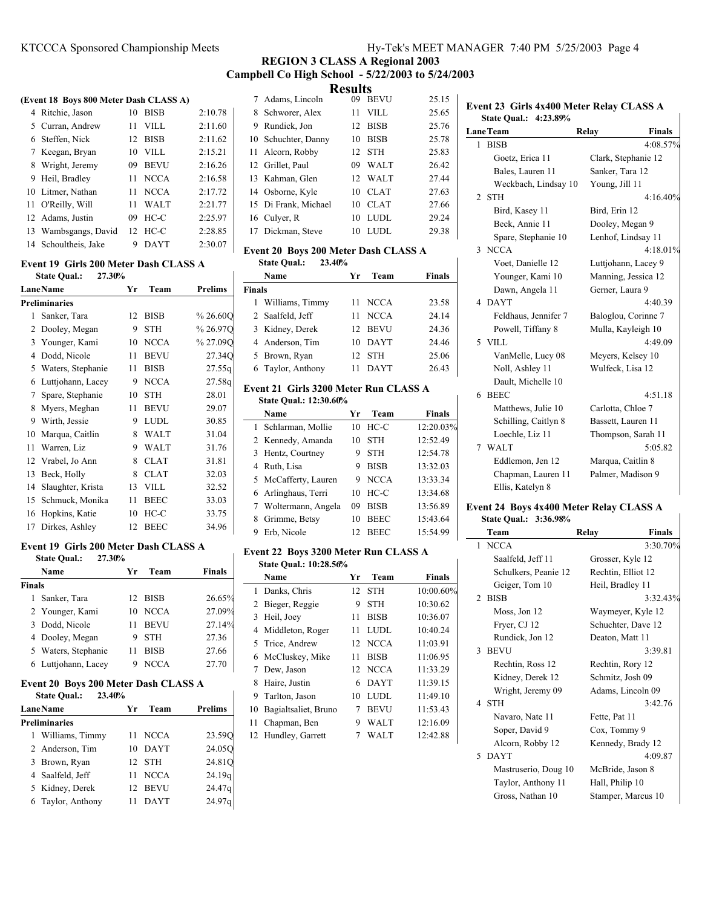# **REGION 3 CLASS A Regional 2003 Campbell Co High School - 5/22/2003 to 5/24/2003**

#### **(Event 18 Boys 800 Meter Dash CLASS A)**

| 4 Ritchie, Jason     | 10 | <b>BISB</b> | 2:10.78 |
|----------------------|----|-------------|---------|
| 5 Curran, Andrew     | 11 | <b>VILL</b> | 2:11.60 |
| 6 Steffen, Nick      | 12 | BISB        | 2:11.62 |
| 7 Keegan, Bryan      | 10 | <b>VILL</b> | 2:15.21 |
| 8 Wright, Jeremy     | 09 | <b>BEVU</b> | 2:16.26 |
| 9 Heil, Bradley      | 11 | <b>NCCA</b> | 2:16.58 |
| 10 Litmer, Nathan    | 11 | <b>NCCA</b> | 2:17.72 |
| 11 O'Reilly, Will    | 11 | <b>WALT</b> | 2:21.77 |
| 12 Adams, Justin     | 09 | $HC-C$      | 2:25.97 |
| 13 Wambsgangs, David | 12 | HC-C        | 2:28.85 |
| 14 Schoultheis, Jake | 9  | DAYT        | 2:30.07 |

#### **Event 19 Girls 200 Meter Dash CLASS A State Qual.: 27.30%**

| state Quant |                      |    |             |                |  |  |
|-------------|----------------------|----|-------------|----------------|--|--|
|             | <b>LaneName</b>      | Yr | Team        | <b>Prelims</b> |  |  |
|             | <b>Preliminaries</b> |    |             |                |  |  |
| 1           | Sanker, Tara         | 12 | BISB        | %26.60Q        |  |  |
| 2           | Dooley, Megan        | 9  | <b>STH</b>  | %26.97Q        |  |  |
| 3           | Younger, Kami        | 10 | <b>NCCA</b> | %27.09Q        |  |  |
| 4           | Dodd, Nicole         | 11 | <b>BEVU</b> | 27.34Q         |  |  |
| 5           | Waters, Stephanie    | 11 | <b>BISB</b> | 27.55q         |  |  |
| 6           | Luttjohann, Lacey    | 9  | <b>NCCA</b> | 27.58q         |  |  |
| 7           | Spare, Stephanie     | 10 | <b>STH</b>  | 28.01          |  |  |
| 8           | Myers, Meghan        | 11 | <b>BEVU</b> | 29.07          |  |  |
| 9           | Wirth, Jessie        | 9  | <b>LUDL</b> | 30.85          |  |  |
| 10          | Marqua, Caitlin      | 8  | <b>WALT</b> | 31.04          |  |  |
| 11          | Warren, Liz          | 9  | <b>WALT</b> | 31.76          |  |  |
| 12          | Vrabel, Jo Ann       | 8  | <b>CLAT</b> | 31.81          |  |  |
| 13          | Beck, Holly          | 8  | <b>CLAT</b> | 32.03          |  |  |
| 14          | Slaughter, Krista    | 13 | <b>VILL</b> | 32.52          |  |  |
| 15          | Schmuck, Monika      | 11 | <b>BEEC</b> | 33.03          |  |  |
| 16          | Hopkins, Katie       | 10 | $HC-C$      | 33.75          |  |  |
| 17          | Dirkes, Ashley       | 12 | <b>BEEC</b> | 34.96          |  |  |
|             |                      |    |             |                |  |  |

### **Event 19 Girls 200 Meter Dash CLASS A**

|        | 27.30%<br><b>State Qual.:</b> |    |             |               |
|--------|-------------------------------|----|-------------|---------------|
|        | Name                          | Уr | Team        | <b>Finals</b> |
| Finals |                               |    |             |               |
|        | 1 Sanker, Tara                |    | 12 BISB     | 26.65%        |
|        | 2 Younger, Kami               | 10 | <b>NCCA</b> | 27.09%        |
|        | 3 Dodd, Nicole                | 11 | <b>BEVU</b> | 27.14%        |
|        | 4 Dooley, Megan               | 9  | <b>STH</b>  | 27.36         |
|        | 5 Waters, Stephanie           | 11 | <b>BISB</b> | 27.66         |
|        | 6 Luttiohann, Lacey           | 9  | <b>NCCA</b> | 27.70         |

# **Event 20 Boys 200 Meter Dash CLASS A**

| 23.40%<br><b>State Qual.:</b> |            |                    |  |  |  |
|-------------------------------|------------|--------------------|--|--|--|
| <b>Lane Name</b>              | Team<br>Уr | <b>Prelims</b>     |  |  |  |
| Preliminaries                 |            |                    |  |  |  |
| 1 Williams, Timmy             | 11 NCCA    | 23.590             |  |  |  |
| 2 Anderson, Tim               | DAYT<br>10 | 24.050             |  |  |  |
| 3 Brown, Ryan                 | 12 STH     | 24.81Q             |  |  |  |
| 4 Saalfeld, Jeff              | 11 NCCA    | 24.19q             |  |  |  |
| 5 Kidney, Derek               | 12 BEVU    | 24.47g             |  |  |  |
| 6 Taylor, Anthony             | DAYT<br>11 | 24.97 <sub>q</sub> |  |  |  |
|                               |            |                    |  |  |  |

**Results**<br>09 BEVU 7 Adams, Lincoln 09 BEVU 25.15 8 Schworer, Alex 11 VILL 25.65 9 25.76 Rundick, Jon 12 BISB 10 Schuchter, Danny 10 BISB 25.78 11 Alcorn, Robby 12 STH 25.83 12 26.42 Grillet, Paul 09 WALT 13 Kahman, Glen 12 WALT 27.44 14 Osborne, Kyle 10 CLAT 27.63 15 27.66 Di Frank, Michael 10 CLAT 16 Culyer, R 10 LUDL 29.24 17 Dickman, Steve 10 LUDL 29.38

# **Event 20 Boys 200 Meter Dash CLASS A**

### **State Qual.: 23.40% Name Yr Team Finals**

| <b>Finals</b> |                   |             |       |
|---------------|-------------------|-------------|-------|
|               | 1 Williams, Timmy | 11 NCCA     | 23.58 |
|               | 2 Saalfeld, Jeff  | 11 NCCA     | 24.14 |
|               | 3 Kidney, Derek   | 12 BEVU     | 24.36 |
|               | 4 Anderson, Tim   | 10 DAYT     | 24.46 |
|               | 5 Brown, Ryan     | 12 STH      | 25.06 |
|               | 6 Taylor, Anthony | <b>DAYT</b> | 26.43 |

#### **Event 21 Girls 3200 Meter Run CLASS A State Qual.: 12:30.60%**

| Name                 | Yr | Team        | <b>Finals</b> |  |
|----------------------|----|-------------|---------------|--|
| 1 Schlarman, Mollie  | 10 | $HC-C$      | 12:20.03%     |  |
| 2 Kennedy, Amanda    | 10 | <b>STH</b>  | 12:52.49      |  |
| 3 Hentz, Courtney    | 9  | <b>STH</b>  | 12:54.78      |  |
| 4 Ruth, Lisa         | 9  | <b>BISB</b> | 13:32.03      |  |
| 5 McCafferty, Lauren | 9. | <b>NCCA</b> | 13:33.34      |  |
| 6 Arlinghaus, Terri  | 10 | $HC-C$      | 13:34.68      |  |
| 7 Woltermann, Angela | 09 | <b>BISB</b> | 13:56.89      |  |
| 8 Grimme, Betsy      | 10 | <b>BEEC</b> | 15:43.64      |  |
| Erb. Nicole<br>9.    | 12 | <b>BEEC</b> | 15:54.99      |  |

### **Event 22 Boys 3200 Meter Run CLASS A State Qual.: 10:28.56%**

|    | Name                 | Yr  | Team        | <b>Finals</b> |
|----|----------------------|-----|-------------|---------------|
|    | 1 Danks, Chris       | 12. | <b>STH</b>  | 10:00.60%     |
|    | 2 Bieger, Reggie     | 9   | <b>STH</b>  | 10:30.62      |
| 3  | Heil, Joey           | 11  | <b>BISB</b> | 10:36.07      |
|    | 4 Middleton, Roger   | 11  | <b>LUDL</b> | 10:40.24      |
|    | 5 Trice, Andrew      |     | 12 NCCA     | 11:03.91      |
|    | 6 McCluskey, Mike    | 11  | <b>BISB</b> | 11:06.95      |
|    | 7 Dew, Jason         | 12. | <b>NCCA</b> | 11:33.29      |
|    | 8 Haire, Justin      | 6   | <b>DAYT</b> | 11:39.15      |
| 9  | Tarlton, Jason       | 10  | <b>LUDL</b> | 11:49.10      |
| 10 | Bagialtsaliet, Bruno | 7   | <b>BEVU</b> | 11:53.43      |
| 11 | Chapman, Ben         | 9   | <b>WALT</b> | 12:16.09      |
|    | 12 Hundley, Garrett  |     | <b>WALT</b> | 12:42.88      |

# **Event 23 Girls 4x400 Meter Relay CLASS A State Qual.: 4:23.89% LaneTeam Relay Finals** 1 BISB  $4:08.57%$ Goetz, Erica 11 Clark, Stephanie 12 Bales, Lauren 11 Sanker, Tara 12 Weckbach, Lindsay 10 Young, Jill 11 2 STH  $4:16.40\%$ Bird, Kasey 11 Bird, Erin 12 Beck, Annie 11 Dooley, Megan 9 Spare, Stephanie 10 Lenhof, Lindsay 11 3 NCCA 4:18.01% Voet, Danielle 12 Luttjohann, Lacey 9 Younger, Kami 10 Manning, Jessica 12 Dawn, Angela 11 Gerner, Laura 9 4 4:40.39 DAYT Feldhaus, Jennifer 7 Baloglou, Corinne 7 Powell, Tiffany 8 Mulla, Kayleigh 10 5 4:49.09 VILL VanMelle, Lucy 08 Meyers, Kelsey 10 Noll, Ashley 11 Wulfeck, Lisa 12 Dault, Michelle 10 6 4:51.18 BEEC Matthews, Julie 10

| Matthews, Julie 10   | Carlotta, Chloe 7  |
|----------------------|--------------------|
| Schilling, Caitlyn 8 | Bassett, Lauren 11 |
| Loechle, Liz 11      | Thompson, Sarah 11 |
| WALT                 | 5:05.82            |
| Eddlemon, Jen 12     | Marqua, Caitlin 8  |
| Chapman, Lauren 11   | Palmer, Madison 9  |
|                      |                    |

### **Event 24 Boys 4x400 Meter Relay CLASS A**

## **State Qual.: 3:36.98%**

Eddlemon, Jen 12 Chapman, Lauren 11 Ellis, Katelyn 8

| Team                 | Relay<br><b>Finals</b> |
|----------------------|------------------------|
| 1 NCCA               | 3:30.70%               |
| Saalfeld, Jeff 11    | Grosser, Kyle 12       |
| Schulkers, Peanie 12 | Rechtin, Elliot 12     |
| Geiger, Tom 10       | Heil, Bradley 11       |
| 2 BISB               | 3:32.43%               |
| Moss, Jon 12         | Waymeyer, Kyle 12      |
| Fryer, CJ 12         | Schuchter, Dave 12     |
| Rundick, Jon 12      | Deaton, Matt 11        |
| 3 BEVU               | 3:39.81                |
| Rechtin, Ross 12     | Rechtin, Rory 12       |
| Kidney, Derek 12     | Schmitz, Josh 09       |
| Wright, Jeremy 09    | Adams, Lincoln 09      |
| 4 STH                | 3:42.76                |
| Navaro, Nate 11      | Fette, Pat 11          |
| Soper, David 9       | Cox, Tommy 9           |
| Alcorn, Robby 12     | Kennedy, Brady 12      |
| 5 DAYT               | 4:09.87                |
| Mastruserio, Doug 10 | McBride, Jason 8       |
| Taylor, Anthony 11   | Hall, Philip 10        |
| Gross, Nathan 10     | Stamper, Marcus 10     |
|                      |                        |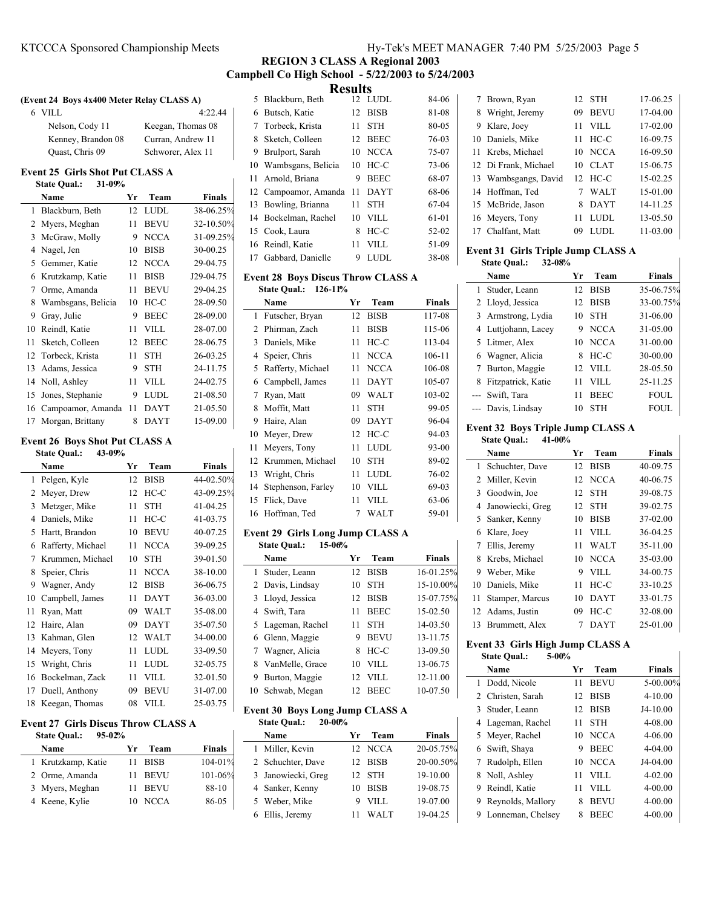### **REGION 3 CLASS A Regional 2003 Campbell Co High School - 5/22/2003 to 5/24/2003 Results**

### **(Event 24 Boys 4x400 Meter Relay CLASS A)**

| 6 VILL             | 4:22.44           |
|--------------------|-------------------|
| Nelson, Cody 11    | Keegan, Thomas 08 |
| Kenney, Brandon 08 | Curran, Andrew 11 |
| Quast, Chris 09    | Schworer, Alex 11 |

# **Event 25 Girls Shot Put CLASS A**

|    | <b>State Qual.:</b><br>31-09% |    |             |           |
|----|-------------------------------|----|-------------|-----------|
|    | Name                          | Yr | Team        | Finals    |
| 1  | Blackburn, Beth               | 12 | <b>LUDL</b> | 38-06.25% |
| 2  | Myers, Meghan                 | 11 | <b>BEVU</b> | 32-10.50% |
| 3  | McGraw, Molly                 | 9  | <b>NCCA</b> | 31-09.25% |
| 4  | Nagel, Jen                    | 10 | <b>BISB</b> | 30-00.25  |
| 5  | Gemmer, Katie                 | 12 | <b>NCCA</b> | 29-04.75  |
| 6  | Krutzkamp, Katie              | 11 | <b>BISB</b> | J29-04.75 |
| 7  | Orme, Amanda                  | 11 | <b>BEVU</b> | 29-04.25  |
| 8  | Wambsgans, Belicia            | 10 | $HC-C$      | 28-09.50  |
| 9  | Gray, Julie                   | 9  | <b>BEEC</b> | 28-09.00  |
| 10 | Reindl, Katie                 | 11 | <b>VILL</b> | 28-07.00  |
| 11 | Sketch, Colleen               | 12 | <b>BEEC</b> | 28-06.75  |
| 12 | Torbeck, Krista               | 11 | <b>STH</b>  | 26-03.25  |
| 13 | Adams, Jessica                | 9  | <b>STH</b>  | 24-11.75  |
| 14 | Noll, Ashley                  | 11 | <b>VILL</b> | 24-02.75  |
| 15 | Jones, Stephanie              | 9  | <b>LUDL</b> | 21-08.50  |
| 16 | Campoamor, Amanda             | 11 | <b>DAYT</b> | 21-05.50  |
| 17 | Morgan, Brittany              | 8  | DAYT        | 15-09.00  |

### **Event 26 Boys Shot Put CLASS A**

| 43-09%<br><b>State Qual.:</b> |                   |    |             |               |
|-------------------------------|-------------------|----|-------------|---------------|
|                               | Name              | Yr | Team        | <b>Finals</b> |
| 1                             | Pelgen, Kyle      | 12 | <b>BISB</b> | 44-02.50%     |
| 2                             | Meyer, Drew       | 12 | $HC-C$      | 43-09.25%     |
| 3                             | Metzger, Mike     | 11 | <b>STH</b>  | 41-04.25      |
| 4                             | Daniels, Mike     | 11 | $HC-C$      | 41-03.75      |
| 5                             | Hartt, Brandon    | 10 | <b>BEVU</b> | 40-07.25      |
| 6                             | Rafferty, Michael | 11 | <b>NCCA</b> | 39-09.25      |
| 7                             | Krummen, Michael  | 10 | <b>STH</b>  | 39-01.50      |
| 8                             | Speier, Chris     | 11 | <b>NCCA</b> | 38-10.00      |
| 9                             | Wagner, Andy      | 12 | <b>BISB</b> | 36-06.75      |
| 10                            | Campbell, James   | 11 | <b>DAYT</b> | 36-03.00      |
| 11                            | Ryan, Matt        | 09 | <b>WALT</b> | 35-08.00      |
| 12                            | Haire, Alan       | 09 | <b>DAYT</b> | 35-07.50      |
| 13                            | Kahman, Glen      | 12 | <b>WALT</b> | 34-00.00      |
| 14                            | Meyers, Tony      | 11 | <b>LUDL</b> | 33-09.50      |
| 15                            | Wright, Chris     | 11 | <b>LUDL</b> | 32-05.75      |
| 16                            | Bockelman, Zack   | 11 | <b>VILL</b> | 32-01.50      |
| 17                            | Duell, Anthony    | 09 | <b>BEVU</b> | 31-07.00      |
| 18                            | Keegan, Thomas    | 08 | <b>VILL</b> | 25-03.75      |

#### **Event 27 Girls Discus Throw CLASS A**

| $95 - 02%$        |              |
|-------------------|--------------|
| Team<br>Yr        | Finals       |
| BISB<br>11        | $104 - 01\%$ |
| <b>BEVU</b><br>11 | $101 - 06\%$ |
| <b>BEVU</b><br>11 | 88-10        |
| <b>NCCA</b><br>10 | 86-05        |
|                   |              |

|   | results               |     |             |       |  |  |
|---|-----------------------|-----|-------------|-------|--|--|
|   | 5 Blackburn, Beth     |     | 12 LUDL     | 84-06 |  |  |
| 6 | Butsch, Katie         | 12  | <b>BISB</b> | 81-08 |  |  |
| 7 | Torbeck, Krista       | 11  | <b>STH</b>  | 80-05 |  |  |
| 8 | Sketch, Colleen       | 12. | <b>BEEC</b> | 76-03 |  |  |
| 9 | Brulport, Sarah       | 10  | <b>NCCA</b> | 75-07 |  |  |
|   | 10 Wambsgans, Belicia | 10  | $HC-C$      | 73-06 |  |  |
|   | 11 Arnold, Briana     | 9   | <b>BEEC</b> | 68-07 |  |  |
|   | 12 Campoamor, Amanda  | 11  | <b>DAYT</b> | 68-06 |  |  |
|   | 13 Bowling, Brianna   | 11  | <b>STH</b>  | 67-04 |  |  |
|   | 14 Bockelman, Rachel  | 10  | VILL.       | 61-01 |  |  |
|   | 15 Cook, Laura        | 8   | $HC-C$      | 52-02 |  |  |
|   | 16 Reindl, Katie      | 11  | <b>VILL</b> | 51-09 |  |  |
|   | 17 Gabbard, Danielle  | 9   | <b>LUDL</b> | 38-08 |  |  |
|   |                       |     |             |       |  |  |

# **Event 28 Boys Discus Throw CLASS A**

| <b>State Oual.:</b> | $126 - 11%$ |
|---------------------|-------------|
|---------------------|-------------|

|    | Name               | Yr | Team        | <b>Finals</b> |
|----|--------------------|----|-------------|---------------|
| 1  | Futscher, Bryan    | 12 | <b>BISB</b> | 117-08        |
| 2  | Phirman, Zach      | 11 | <b>BISB</b> | 115-06        |
| 3  | Daniels, Mike      | 11 | HC-C        | 113-04        |
| 4  | Speier, Chris      | 11 | <b>NCCA</b> | 106-11        |
| 5  | Rafferty, Michael  | 11 | <b>NCCA</b> | 106-08        |
| 6  | Campbell, James    | 11 | DAYT        | 105-07        |
| 7  | Ryan, Matt         | 09 | <b>WALT</b> | 103-02        |
| 8  | Moffit, Matt       | 11 | <b>STH</b>  | 99-05         |
| 9  | Haire, Alan        | 09 | DAYT        | 96-04         |
| 10 | Meyer, Drew        | 12 | $HC-C$      | 94-03         |
| 11 | Meyers, Tony       | 11 | <b>LUDL</b> | 93-00         |
| 12 | Krummen, Michael   | 10 | <b>STH</b>  | 89-02         |
| 13 | Wright, Chris      | 11 | LUDL        | 76-02         |
| 14 | Stephenson, Farley | 10 | VILL        | 69-03         |
| 15 | Flick, Dave        | 11 | VILL        | 63-06         |
|    | 16 Hoffman. Ted    | 7  | WALT        | 59-01         |

#### **Event 29 Girls Long Jump CLASS A State Qual.: 15-06%**

|   | Name              | Yr              | Team        | <b>Finals</b> |  |
|---|-------------------|-----------------|-------------|---------------|--|
|   | 1 Studer, Leann   |                 | 12 BISB     | 16-01.25%     |  |
|   | 2 Davis, Lindsay  | 10              | <b>STH</b>  | 15-10.00%     |  |
|   | 3 Lloyd, Jessica  |                 | 12 BISB     | 15-07.75%     |  |
|   | 4 Swift, Tara     | 11              | <b>BEEC</b> | 15-02.50      |  |
|   | 5 Lageman, Rachel | 11              | <b>STH</b>  | 14-03.50      |  |
|   | 6 Glenn, Maggie   | 9               | <b>BEVU</b> | 13-11.75      |  |
|   | 7 Wagner, Alicia  | 8.              | $HC-C$      | 13-09.50      |  |
|   | 8 VanMelle, Grace | 10              | VILL.       | 13-06.75      |  |
| 9 | Burton, Maggie    | 12.             | VILL.       | 12-11.00      |  |
|   | 10 Schwab, Megan  | 12 <sup>1</sup> | <b>BEEC</b> | 10-07.50      |  |

# **Event 30 Boys Long Jump CLASS A**

**State Qual.: 20-00%**

| Name               | Yг | Team        | <b>Finals</b> |  |
|--------------------|----|-------------|---------------|--|
| 1 Miller, Kevin    |    | 12 NCCA     | 20-05.75%     |  |
| 2 Schuchter, Dave  |    | 12 BISB     | 20-00.50%     |  |
| 3 Janowiecki, Greg |    | 12 STH      | 19-10.00      |  |
| 4 Sanker, Kenny    | 10 | <b>BISB</b> | 19-08.75      |  |
| 5 Weber, Mike      | 9  | VILL.       | 19-07.00      |  |
| 6 Ellis, Jeremy    |    | WALT        | 19-04.25      |  |
|                    |    |             |               |  |

| 7 Brown, Ryan        |    | 12 STH      | 17-06.25   |
|----------------------|----|-------------|------------|
| 8 Wright, Jeremy     | 09 | <b>BEVU</b> | $17-04.00$ |
| 9 Klare, Joey        | 11 | VILL.       | $17-02.00$ |
| 10 Daniels, Mike     | 11 | $HC-C$      | 16-09.75   |
| 11 Krebs, Michael    | 10 | <b>NCCA</b> | 16-09.50   |
| 12 Di Frank, Michael | 10 | <b>CLAT</b> | 15-06.75   |
| 13 Wambsgangs, David |    | 12 HC-C     | 15-02.25   |
| 14 Hoffman, Ted      |    | <b>WALT</b> | 15-01.00   |
| 15 McBride, Jason    | 8  | <b>DAYT</b> | 14-11.25   |
| 16 Meyers, Tony      | 11 | LUDL.       | 13-05.50   |
| Chalfant, Matt       | 09 | LUDL.       | 11-03.00   |

# **Event 31 Girls Triple Jump CLASS A**

| <b>State Oual.: 32-08%</b> |  |         |        |
|----------------------------|--|---------|--------|
| Name                       |  | Vr Team | Finale |

|   | 1.341111            | . . | .           | т шатэ      |
|---|---------------------|-----|-------------|-------------|
|   | 1 Studer, Leann     | 12  | <b>BISB</b> | 35-06.75%   |
|   | 2 Lloyd, Jessica    | 12  | <b>BISB</b> | 33-00.75%   |
|   | 3 Armstrong, Lydia  | 10  | <b>STH</b>  | 31-06.00    |
|   | 4 Luttiohann, Lacey | 9   | <b>NCCA</b> | 31-05.00    |
|   | 5 Litmer, Alex      | 10  | <b>NCCA</b> | 31-00.00    |
|   | 6 Wagner, Alicia    | 8   | $HC-C$      | 30-00.00    |
|   | 7 Burton, Maggie    | 12. | -VILL       | 28-05.50    |
| 8 | Fitzpatrick, Katie  | 11  | VILL.       | 25-11.25    |
|   | --- Swift, Tara     | 11  | <b>BEEC</b> | <b>FOUL</b> |
|   | --- Davis, Lindsav  | 10  | <b>STH</b>  | <b>FOUL</b> |

# **Event 32 Boys Triple Jump CLASS A**

### **State Qual.: 41-00%**

|    | Name              | Yr | Team        | <b>Finals</b> |
|----|-------------------|----|-------------|---------------|
|    | 1 Schuchter, Dave | 12 | <b>BISB</b> | 40-09.75      |
| 2  | Miller, Kevin     | 12 | <b>NCCA</b> | 40-06.75      |
| 3  | Goodwin, Joe      | 12 | <b>STH</b>  | 39-08.75      |
| 4  | Janowiecki, Greg  | 12 | <b>STH</b>  | 39-02.75      |
|    | 5 Sanker, Kenny   | 10 | <b>BISB</b> | 37-02.00      |
| 6  | Klare, Joey       | 11 | VILL.       | 36-04.25      |
| 7  | Ellis, Jeremy     | 11 | <b>WALT</b> | 35-11.00      |
| 8  | Krebs, Michael    | 10 | <b>NCCA</b> | 35-03.00      |
| 9  | Weber, Mike       | 9  | VILL.       | 34-00.75      |
| 10 | Daniels, Mike     | 11 | HC-C        | 33-10.25      |
| 11 | Stamper, Marcus   | 10 | <b>DAYT</b> | 33-01.75      |
| 12 | Adams, Justin     | 09 | HC-C        | 32-08.00      |
| 13 | Brummett, Alex    |    | <b>DAYT</b> | 25-01.00      |

### **Event 33 Girls High Jump CLASS A State Qual.: 5-00%**

|    | Name              | Уr | Team        | <b>Finals</b> |
|----|-------------------|----|-------------|---------------|
| 1. | Dodd, Nicole      | 11 | <b>BEVU</b> | 5-00.00%      |
|    | 2 Christen, Sarah | 12 | <b>BISB</b> | $4 - 10.00$   |
|    | 3 Studer, Leann   | 12 | <b>BISB</b> | $J4-10.00$    |
|    | 4 Lageman, Rachel | 11 | <b>STH</b>  | $4 - 08.00$   |
|    | 5 Meyer, Rachel   | 10 | <b>NCCA</b> | $4 - 06.00$   |
|    | 6 Swift, Shaya    | 9  | <b>BEEC</b> | $4 - 04.00$   |
| 7  | Rudolph, Ellen    | 10 | <b>NCCA</b> | $J4-04.00$    |
|    | 8 Noll, Ashley    | 11 | VILL.       | $4 - 02.00$   |
| 9  | Reindl, Katie     | 11 | VILL.       | 4-00.00       |
| 9  | Reynolds, Mallory | 8  | <b>BEVU</b> | $4 - 00.00$   |
| 9  | Lonneman, Chelsey | 8  | <b>BEEC</b> | $4 - 00.00$   |